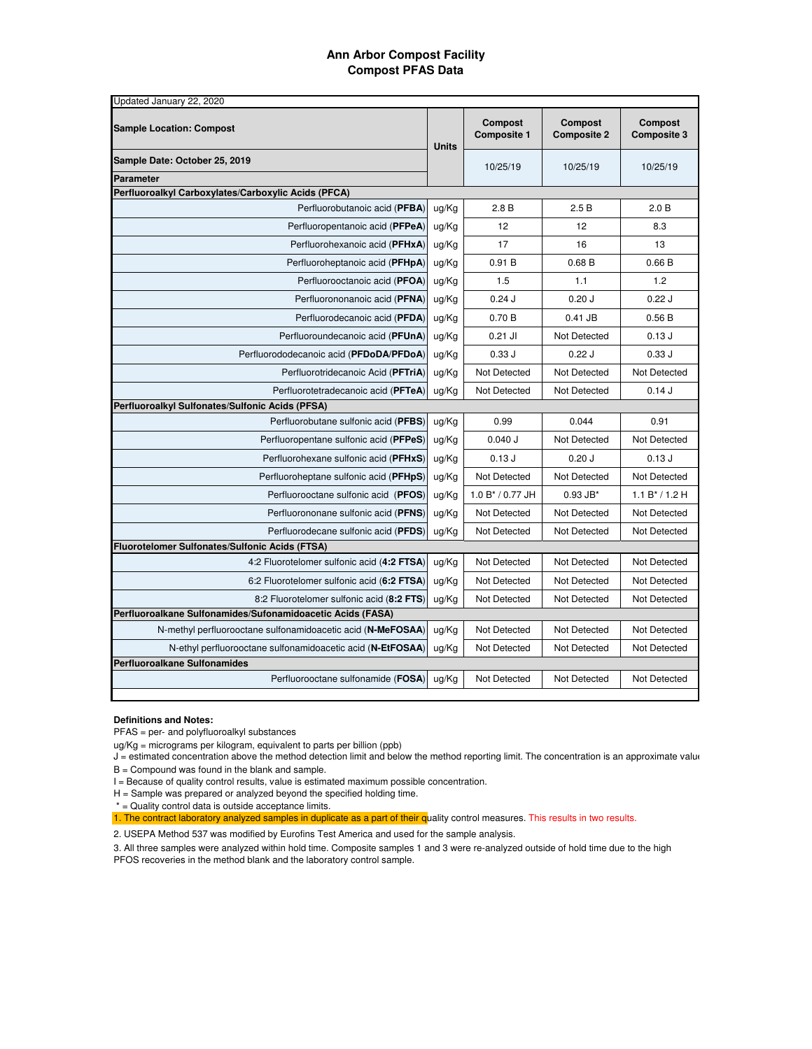## **Ann Arbor Compost Facility Compost PFAS Data**

| Updated January 22, 2020                                    |              |                                      |                               |                               |  |  |  |  |  |
|-------------------------------------------------------------|--------------|--------------------------------------|-------------------------------|-------------------------------|--|--|--|--|--|
| <b>Sample Location: Compost</b>                             | <b>Units</b> | <b>Compost</b><br><b>Composite 1</b> | Compost<br><b>Composite 2</b> | Compost<br><b>Composite 3</b> |  |  |  |  |  |
| Sample Date: October 25, 2019                               |              | 10/25/19                             | 10/25/19                      | 10/25/19                      |  |  |  |  |  |
| <b>Parameter</b>                                            |              |                                      |                               |                               |  |  |  |  |  |
| Perfluoroalkyl Carboxylates/Carboxylic Acids (PFCA)         |              |                                      |                               |                               |  |  |  |  |  |
| Perfluorobutanoic acid (PFBA)                               | ug/Kg        | 2.8B                                 | 2.5B                          | 2.0 B                         |  |  |  |  |  |
| Perfluoropentanoic acid (PFPeA)                             | ug/Kg        | 12                                   | 12                            | 8.3                           |  |  |  |  |  |
| Perfluorohexanoic acid (PFHxA)                              | ug/Kg        | 17                                   | 16                            | 13                            |  |  |  |  |  |
| Perfluoroheptanoic acid (PFHpA)                             | ug/Kg        | 0.91B                                | 0.68B                         | 0.66B                         |  |  |  |  |  |
| Perfluorooctanoic acid (PFOA)                               | ug/Kg        | 1.5                                  | 1.1                           | 1.2                           |  |  |  |  |  |
| Perfluorononanoic acid (PFNA)                               | ug/Kg        | 0.24J                                | 0.20J                         | 0.22J                         |  |  |  |  |  |
| Perfluorodecanoic acid (PFDA)                               | ug/Kg        | 0.70B                                | 0.41 JB                       | 0.56B                         |  |  |  |  |  |
| Perfluoroundecanoic acid (PFUnA)                            | ug/Kg        | $0.21$ JI                            | Not Detected                  | 0.13J                         |  |  |  |  |  |
| Perfluorododecanoic acid (PFDoDA/PFDoA)                     | ug/Kg        | 0.33J                                | 0.22J                         | 0.33J                         |  |  |  |  |  |
| Perfluorotridecanoic Acid (PFTriA)                          | ug/Kg        | Not Detected                         | Not Detected                  | <b>Not Detected</b>           |  |  |  |  |  |
| Perfluorotetradecanoic acid (PFTeA)                         | ug/Kg        | Not Detected                         | Not Detected                  | 0.14J                         |  |  |  |  |  |
| Perfluoroalkyl Sulfonates/Sulfonic Acids (PFSA)             |              |                                      |                               |                               |  |  |  |  |  |
| Perfluorobutane sulfonic acid (PFBS)                        | ug/Kg        | 0.99                                 | 0.044                         | 0.91                          |  |  |  |  |  |
| Perfluoropentane sulfonic acid (PFPeS)                      | ug/Kg        | 0.040 J                              | <b>Not Detected</b>           | <b>Not Detected</b>           |  |  |  |  |  |
| Perfluorohexane sulfonic acid (PFHxS)                       | ug/Kg        | 0.13J                                | $0.20$ J                      | 0.13J                         |  |  |  |  |  |
| Perfluoroheptane sulfonic acid (PFHpS)                      | ug/Kg        | Not Detected                         | Not Detected                  | Not Detected                  |  |  |  |  |  |
| Perfluorooctane sulfonic acid (PFOS)                        | ug/Kg        | 1.0 B* / 0.77 JH                     | $0.93$ JB*                    | $1.1 B^* / 1.2 H$             |  |  |  |  |  |
| Perfluorononane sulfonic acid (PFNS)                        | ug/Kg        | Not Detected                         | Not Detected                  | <b>Not Detected</b>           |  |  |  |  |  |
| Perfluorodecane sulfonic acid (PFDS)                        | ug/Kg        | Not Detected                         | Not Detected                  | Not Detected                  |  |  |  |  |  |
| Fluorotelomer Sulfonates/Sulfonic Acids (FTSA)              |              |                                      |                               |                               |  |  |  |  |  |
| 4:2 Fluorotelomer sulfonic acid (4:2 FTSA)                  | ug/Kg        | Not Detected                         | Not Detected                  | <b>Not Detected</b>           |  |  |  |  |  |
| 6:2 Fluorotelomer sulfonic acid (6:2 FTSA)                  | ug/Kg        | Not Detected                         | Not Detected                  | Not Detected                  |  |  |  |  |  |
| 8:2 Fluorotelomer sulfonic acid (8:2 FTS)                   | ug/Kg        | Not Detected                         | Not Detected                  | Not Detected                  |  |  |  |  |  |
| Perfluoroalkane Sulfonamides/Sufonamidoacetic Acids (FASA)  |              |                                      |                               |                               |  |  |  |  |  |
| N-methyl perfluorooctane sulfonamidoacetic acid (N-MeFOSAA) | ug/Kg        | Not Detected                         | Not Detected                  | Not Detected                  |  |  |  |  |  |
| N-ethyl perfluorooctane sulfonamidoacetic acid (N-EtFOSAA)  | ug/Kg        | Not Detected                         | Not Detected                  | <b>Not Detected</b>           |  |  |  |  |  |
| <b>Perfluoroalkane Sulfonamides</b>                         |              |                                      |                               |                               |  |  |  |  |  |
| Perfluorooctane sulfonamide (FOSA)                          | ug/Kg        | Not Detected                         | Not Detected                  | Not Detected                  |  |  |  |  |  |

## **Definitions and Notes:**

PFAS = per‐ and polyfluoroalkyl substances

ug/Kg = micrograms per kilogram, equivalent to parts per billion (ppb)

- J = estimated concentration above the method detection limit and below the method reporting limit. The concentration is an approximate value.  $B =$  Compound was found in the blank and sample.
- I = Because of quality control results, value is estimated maximum possible concentration.
- H = Sample was prepared or analyzed beyond the specified holding time.
- \* = Quality control data is outside acceptance limits.

1. The contract laboratory analyzed samples in duplicate as a part of their quality control measures. This results in two results.

2. USEPA Method 537 was modified by Eurofins Test America and used for the sample analysis.

3. All three samples were analyzed within hold time. Composite samples 1 and 3 were re-analyzed outside of hold time due to the high PFOS recoveries in the method blank and the laboratory control sample.